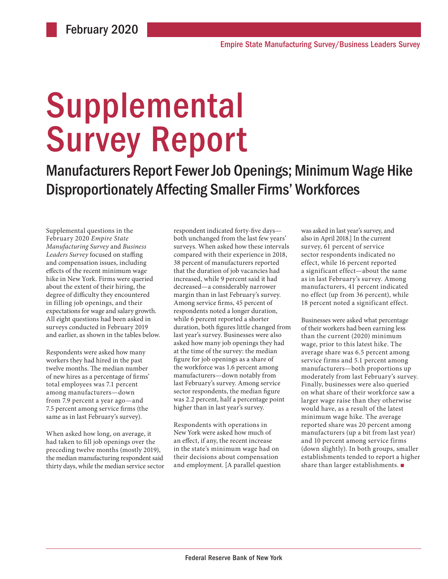# Supplemental Survey Report

Manufacturers Report Fewer Job Openings; Minimum Wage Hike Disproportionately Affecting Smaller Firms' Workforces

Supplemental questions in the February 2020 *Empire State Manufacturing Survey* and *Business Leaders Survey* focused on staffing and compensation issues, including effects of the recent minimum wage hike in New York. Firms were queried about the extent of their hiring, the degree of difficulty they encountered in filling job openings, and their expectations for wage and salary growth. All eight questions had been asked in surveys conducted in February 2019 and earlier, as shown in the tables below.

Respondents were asked how many workers they had hired in the past twelve months. The median number of new hires as a percentage of firms' total employees was 7.1 percent among manufacturers—down from 7.9 percent a year ago—and 7.5 percent among service firms (the same as in last February's survey).

When asked how long, on average, it had taken to fill job openings over the preceding twelve months (mostly 2019), the median manufacturing respondent said thirty days, while the median service sector

respondent indicated forty-five days both unchanged from the last few years' surveys. When asked how these intervals compared with their experience in 2018, 38 percent of manufacturers reported that the duration of job vacancies had increased, while 9 percent said it had decreased—a considerably narrower margin than in last February's survey. Among service firms, 45 percent of respondents noted a longer duration, while 6 percent reported a shorter duration, both figures little changed from last year's survey. Businesses were also asked how many job openings they had at the time of the survey: the median figure for job openings as a share of the workforce was 1.6 percent among manufacturers—down notably from last February's survey. Among service sector respondents, the median figure was 2.2 percent, half a percentage point higher than in last year's survey.

Respondents with operations in New York were asked how much of an effect, if any, the recent increase in the state's minimum wage had on their decisions about compensation and employment. [A parallel question was asked in last year's survey, and also in April 2018.] In the current survey, 61 percent of service sector respondents indicated no effect, while 16 percent reported a significant effect—about the same as in last February's survey. Among manufacturers, 41 percent indicated no effect (up from 36 percent), while 18 percent noted a significant effect.

Businesses were asked what percentage of their workers had been earning less than the current (2020) minimum wage, prior to this latest hike. The average share was 6.5 percent among service firms and 5.1 percent among manufacturers—both proportions up moderately from last February's survey. Finally, businesses were also queried on what share of their workforce saw a larger wage raise than they otherwise would have, as a result of the latest minimum wage hike. The average reported share was 20 percent among manufacturers (up a bit from last year) and 10 percent among service firms (down slightly). In both groups, smaller establishments tended to report a higher share than larger establishments. ■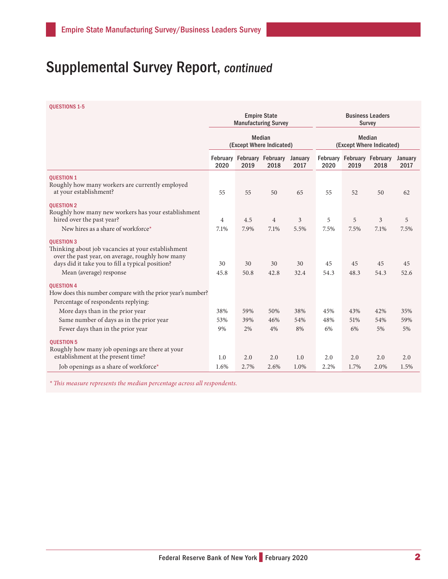## Supplemental Survey Report, continued

QUESTIONS 1-5

|                                                                                                                                                                                                            | <b>Empire State</b><br><b>Manufacturing Survey</b><br><b>Median</b><br>(Except Where Indicated) |            |                                    | <b>Business Leaders</b><br><b>Survey</b><br><b>Median</b><br>(Except Where Indicated) |            |            |                                    |                 |
|------------------------------------------------------------------------------------------------------------------------------------------------------------------------------------------------------------|-------------------------------------------------------------------------------------------------|------------|------------------------------------|---------------------------------------------------------------------------------------|------------|------------|------------------------------------|-----------------|
|                                                                                                                                                                                                            |                                                                                                 |            |                                    |                                                                                       |            |            |                                    |                 |
|                                                                                                                                                                                                            | 2020                                                                                            | 2019       | February February February<br>2018 | January<br>2017                                                                       | 2020       | 2019       | February February February<br>2018 | January<br>2017 |
| <b>OUESTION 1</b><br>Roughly how many workers are currently employed<br>at your establishment?                                                                                                             | 55                                                                                              | 55         | 50                                 | 65                                                                                    | 55         | 52         | 50                                 | 62              |
| <b>OUESTION 2</b><br>Roughly how many new workers has your establishment<br>hired over the past year?                                                                                                      | 4                                                                                               | 4.5        | $\overline{4}$                     | 3                                                                                     | 5          | 5          | 3                                  | 5               |
| New hires as a share of workforce*                                                                                                                                                                         | 7.1%                                                                                            | 7.9%       | 7.1%                               | 5.5%                                                                                  | 7.5%       | 7.5%       | 7.1%                               | 7.5%            |
| <b>OUESTION 3</b><br>Thinking about job vacancies at your establishment<br>over the past year, on average, roughly how many<br>days did it take you to fill a typical position?<br>Mean (average) response | 30<br>45.8                                                                                      | 30<br>50.8 | 30<br>42.8                         | 30<br>32.4                                                                            | 45<br>54.3 | 45<br>48.3 | 45<br>54.3                         | 45<br>52.6      |
| <b>OUESTION 4</b><br>How does this number compare with the prior year's number?<br>Percentage of respondents replying:                                                                                     |                                                                                                 |            |                                    |                                                                                       |            |            |                                    |                 |
| More days than in the prior year                                                                                                                                                                           | 38%                                                                                             | 59%        | 50%                                | 38%                                                                                   | 45%        | 43%        | 42%                                | 35%             |
| Same number of days as in the prior year                                                                                                                                                                   | 53%                                                                                             | 39%        | 46%                                | 54%                                                                                   | 48%        | 51%        | 54%                                | 59%             |
| Fewer days than in the prior year                                                                                                                                                                          | 9%                                                                                              | 2%         | 4%                                 | 8%                                                                                    | 6%         | 6%         | 5%                                 | 5%              |
| <b>OUESTION 5</b><br>Roughly how many job openings are there at your<br>establishment at the present time?                                                                                                 | 1.0                                                                                             | 2.0        | 2.0                                | 1.0                                                                                   | 2.0        | 2.0        | 2.0                                | 2.0             |
| Job openings as a share of workforce*                                                                                                                                                                      | 1.6%                                                                                            | 2.7%       | 2.6%                               | 1.0%                                                                                  | 2.2%       | 1.7%       | 2.0%                               | 1.5%            |

*\* This measure represents the median percentage across all respondents.*